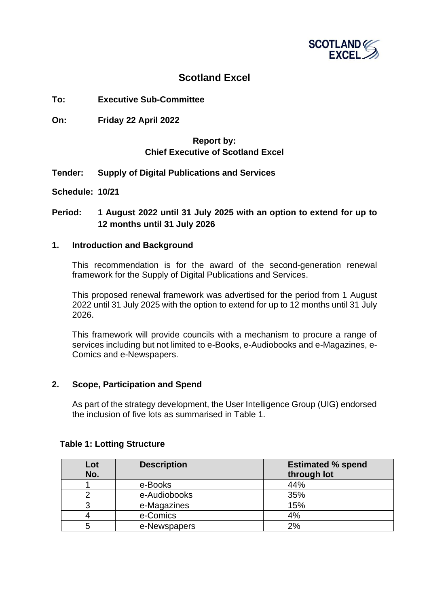

# **Scotland Excel**

## **To: Executive Sub-Committee**

**On: Friday 22 April 2022**

## **Report by: Chief Executive of Scotland Excel**

**Tender: Supply of Digital Publications and Services**

**Schedule: 10/21**

## **Period: 1 August 2022 until 31 July 2025 with an option to extend for up to 12 months until 31 July 2026**

#### **1. Introduction and Background**

This recommendation is for the award of the second-generation renewal framework for the Supply of Digital Publications and Services.

This proposed renewal framework was advertised for the period from 1 August 2022 until 31 July 2025 with the option to extend for up to 12 months until 31 July 2026.

This framework will provide councils with a mechanism to procure a range of services including but not limited to e-Books, e-Audiobooks and e-Magazines, e-Comics and e-Newspapers.

#### **2. Scope, Participation and Spend**

As part of the strategy development, the User Intelligence Group (UIG) endorsed the inclusion of five lots as summarised in Table 1.

| Lot<br>No. | <b>Description</b> | <b>Estimated % spend</b><br>through lot |
|------------|--------------------|-----------------------------------------|
|            | e-Books            | 44%                                     |
|            | e-Audiobooks       | 35%                                     |
|            | e-Magazines        | 15%                                     |
|            | e-Comics           | 4%                                      |
|            | e-Newspapers       | 2%                                      |

## **Table 1: Lotting Structure**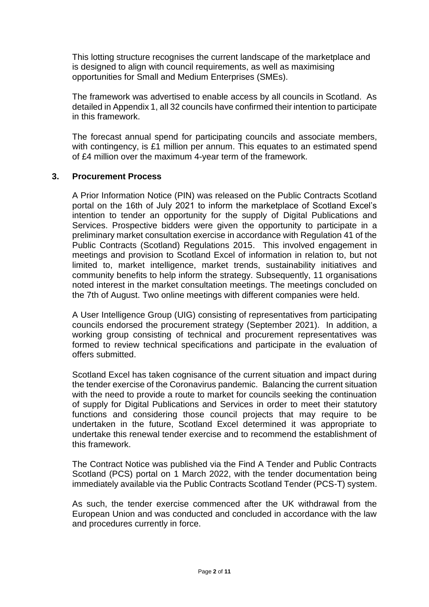This lotting structure recognises the current landscape of the marketplace and is designed to align with council requirements, as well as maximising opportunities for Small and Medium Enterprises (SMEs).

The framework was advertised to enable access by all councils in Scotland. As detailed in Appendix 1, all 32 councils have confirmed their intention to participate in this framework.

The forecast annual spend for participating councils and associate members, with contingency, is £1 million per annum. This equates to an estimated spend of £4 million over the maximum 4-year term of the framework.

## **3. Procurement Process**

A Prior Information Notice (PIN) was released on the Public Contracts Scotland portal on the 16th of July 2021 to inform the marketplace of Scotland Excel's intention to tender an opportunity for the supply of Digital Publications and Services. Prospective bidders were given the opportunity to participate in a preliminary market consultation exercise in accordance with Regulation 41 of the Public Contracts (Scotland) Regulations 2015. This involved engagement in meetings and provision to Scotland Excel of information in relation to, but not limited to, market intelligence, market trends, sustainability initiatives and community benefits to help inform the strategy. Subsequently, 11 organisations noted interest in the market consultation meetings. The meetings concluded on the 7th of August. Two online meetings with different companies were held.

A User Intelligence Group (UIG) consisting of representatives from participating councils endorsed the procurement strategy (September 2021). In addition, a working group consisting of technical and procurement representatives was formed to review technical specifications and participate in the evaluation of offers submitted.

Scotland Excel has taken cognisance of the current situation and impact during the tender exercise of the Coronavirus pandemic. Balancing the current situation with the need to provide a route to market for councils seeking the continuation of supply for Digital Publications and Services in order to meet their statutory functions and considering those council projects that may require to be undertaken in the future, Scotland Excel determined it was appropriate to undertake this renewal tender exercise and to recommend the establishment of this framework.

The Contract Notice was published via the Find A Tender and Public Contracts Scotland (PCS) portal on 1 March 2022, with the tender documentation being immediately available via the Public Contracts Scotland Tender (PCS-T) system.

As such, the tender exercise commenced after the UK withdrawal from the European Union and was conducted and concluded in accordance with the law and procedures currently in force.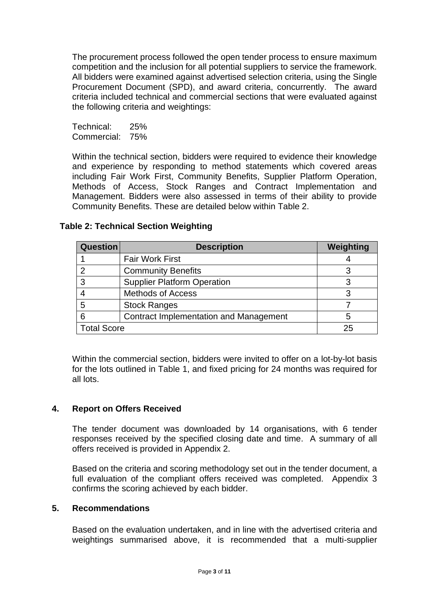The procurement process followed the open tender process to ensure maximum competition and the inclusion for all potential suppliers to service the framework. All bidders were examined against advertised selection criteria, using the Single Procurement Document (SPD), and award criteria, concurrently. The award criteria included technical and commercial sections that were evaluated against the following criteria and weightings:

Technical: 25% Commercial: 75%

Within the technical section, bidders were required to evidence their knowledge and experience by responding to method statements which covered areas including Fair Work First, Community Benefits, Supplier Platform Operation, Methods of Access, Stock Ranges and Contract Implementation and Management. Bidders were also assessed in terms of their ability to provide Community Benefits. These are detailed below within Table 2.

| <b>Question</b>    | <b>Description</b>                     | Weighting |
|--------------------|----------------------------------------|-----------|
|                    | <b>Fair Work First</b>                 |           |
| っ                  | <b>Community Benefits</b>              |           |
| 3                  | <b>Supplier Platform Operation</b>     |           |
|                    | <b>Methods of Access</b>               |           |
| 5                  | <b>Stock Ranges</b>                    |           |
| 6                  | Contract Implementation and Management | b         |
| <b>Total Score</b> |                                        | 25        |

# **Table 2: Technical Section Weighting**

Within the commercial section, bidders were invited to offer on a lot-by-lot basis for the lots outlined in Table 1, and fixed pricing for 24 months was required for all lots.

## **4. Report on Offers Received**

The tender document was downloaded by 14 organisations, with 6 tender responses received by the specified closing date and time. A summary of all offers received is provided in Appendix 2.

Based on the criteria and scoring methodology set out in the tender document, a full evaluation of the compliant offers received was completed. Appendix 3 confirms the scoring achieved by each bidder.

## **5. Recommendations**

Based on the evaluation undertaken, and in line with the advertised criteria and weightings summarised above, it is recommended that a multi-supplier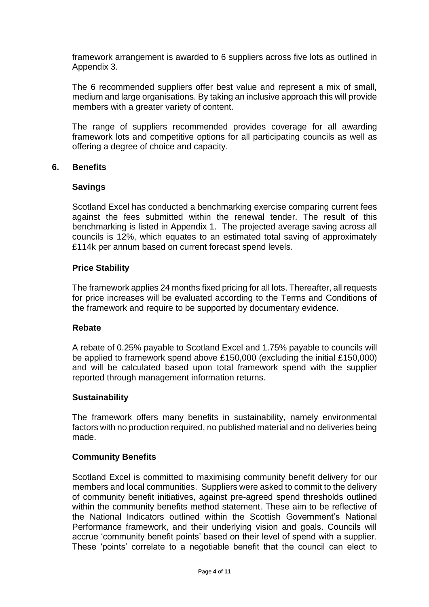framework arrangement is awarded to 6 suppliers across five lots as outlined in Appendix 3.

The 6 recommended suppliers offer best value and represent a mix of small, medium and large organisations. By taking an inclusive approach this will provide members with a greater variety of content.

The range of suppliers recommended provides coverage for all awarding framework lots and competitive options for all participating councils as well as offering a degree of choice and capacity.

## **6. Benefits**

#### **Savings**

Scotland Excel has conducted a benchmarking exercise comparing current fees against the fees submitted within the renewal tender. The result of this benchmarking is listed in Appendix 1. The projected average saving across all councils is 12%, which equates to an estimated total saving of approximately £114k per annum based on current forecast spend levels.

## **Price Stability**

The framework applies 24 months fixed pricing for all lots. Thereafter, all requests for price increases will be evaluated according to the Terms and Conditions of the framework and require to be supported by documentary evidence.

#### **Rebate**

A rebate of 0.25% payable to Scotland Excel and 1.75% payable to councils will be applied to framework spend above £150,000 (excluding the initial £150,000) and will be calculated based upon total framework spend with the supplier reported through management information returns.

#### **Sustainability**

The framework offers many benefits in sustainability, namely environmental factors with no production required, no published material and no deliveries being made.

#### **Community Benefits**

Scotland Excel is committed to maximising community benefit delivery for our members and local communities. Suppliers were asked to commit to the delivery of community benefit initiatives, against pre-agreed spend thresholds outlined within the community benefits method statement. These aim to be reflective of the National Indicators outlined within the Scottish Government's National Performance framework, and their underlying vision and goals. Councils will accrue 'community benefit points' based on their level of spend with a supplier. These 'points' correlate to a negotiable benefit that the council can elect to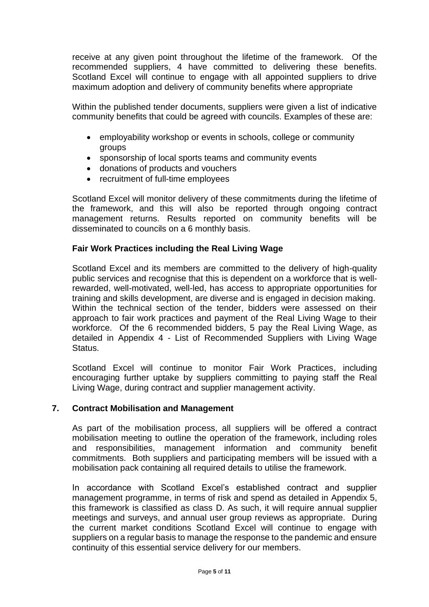receive at any given point throughout the lifetime of the framework. Of the recommended suppliers, 4 have committed to delivering these benefits. Scotland Excel will continue to engage with all appointed suppliers to drive maximum adoption and delivery of community benefits where appropriate

Within the published tender documents, suppliers were given a list of indicative community benefits that could be agreed with councils. Examples of these are:

- employability workshop or events in schools, college or community groups
- sponsorship of local sports teams and community events
- donations of products and vouchers
- recruitment of full-time employees

Scotland Excel will monitor delivery of these commitments during the lifetime of the framework, and this will also be reported through ongoing contract management returns. Results reported on community benefits will be disseminated to councils on a 6 monthly basis.

## **Fair Work Practices including the Real Living Wage**

Scotland Excel and its members are committed to the delivery of high-quality public services and recognise that this is dependent on a workforce that is wellrewarded, well-motivated, well-led, has access to appropriate opportunities for training and skills development, are diverse and is engaged in decision making. Within the technical section of the tender, bidders were assessed on their approach to fair work practices and payment of the Real Living Wage to their workforce. Of the 6 recommended bidders, 5 pay the Real Living Wage, as detailed in Appendix 4 - List of Recommended Suppliers with Living Wage Status.

Scotland Excel will continue to monitor Fair Work Practices, including encouraging further uptake by suppliers committing to paying staff the Real Living Wage, during contract and supplier management activity.

## **7. Contract Mobilisation and Management**

As part of the mobilisation process, all suppliers will be offered a contract mobilisation meeting to outline the operation of the framework, including roles and responsibilities, management information and community benefit commitments. Both suppliers and participating members will be issued with a mobilisation pack containing all required details to utilise the framework.

In accordance with Scotland Excel's established contract and supplier management programme, in terms of risk and spend as detailed in Appendix 5, this framework is classified as class D. As such, it will require annual supplier meetings and surveys, and annual user group reviews as appropriate. During the current market conditions Scotland Excel will continue to engage with suppliers on a regular basis to manage the response to the pandemic and ensure continuity of this essential service delivery for our members.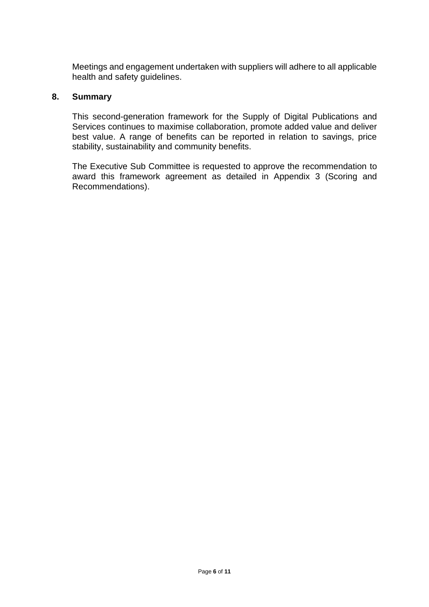Meetings and engagement undertaken with suppliers will adhere to all applicable health and safety guidelines.

## **8. Summary**

This second-generation framework for the Supply of Digital Publications and Services continues to maximise collaboration, promote added value and deliver best value. A range of benefits can be reported in relation to savings, price stability, sustainability and community benefits.

The Executive Sub Committee is requested to approve the recommendation to award this framework agreement as detailed in Appendix 3 (Scoring and Recommendations).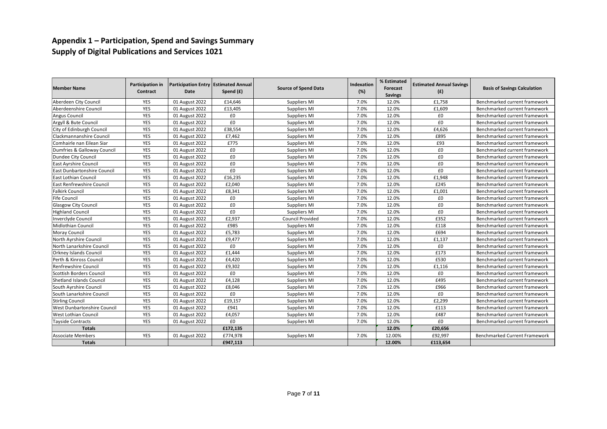## **Appendix 1 – Participation, Spend and Savings Summary Supply of Digital Publications and Services 1021**

| <b>Member Name</b>              | Participation in<br>Contract | Participation Entry Estimated Annual<br>Date | Spend (£) | <b>Source of Spend Data</b> | Indexation<br>(%) | % Estimated<br>Forecast<br><b>Savings</b> | <b>Estimated Annual Savings</b><br>(f) | <b>Basis of Savings Calculation</b>  |
|---------------------------------|------------------------------|----------------------------------------------|-----------|-----------------------------|-------------------|-------------------------------------------|----------------------------------------|--------------------------------------|
| Aberdeen City Council           | <b>YES</b>                   | 01 August 2022                               | £14,646   | Suppliers MI                | 7.0%              | 12.0%                                     | £1.758                                 | Benchmarked current framework        |
| Aberdeenshire Council           | <b>YES</b>                   | 01 August 2022                               | £13,405   | Suppliers MI                | 7.0%              | 12.0%                                     | £1,609                                 | Benchmarked current framework        |
| <b>Angus Council</b>            | YES                          | 01 August 2022                               | £0        | Suppliers MI                | 7.0%              | 12.0%                                     | £0                                     | Benchmarked current framework        |
| Argyll & Bute Council           | YES                          | 01 August 2022                               | £0        | Suppliers MI                | 7.0%              | 12.0%                                     | £0                                     | Benchmarked current framework        |
| City of Edinburgh Council       | <b>YES</b>                   | 01 August 2022                               | £38,554   | Suppliers MI                | 7.0%              | 12.0%                                     | £4,626                                 | Benchmarked current framework        |
| Clackmannanshire Council        | <b>YES</b>                   | 01 August 2022                               | £7,462    | Suppliers MI                | 7.0%              | 12.0%                                     | £895                                   | Benchmarked current framework        |
| Comhairle nan Eilean Siar       | <b>YES</b>                   | 01 August 2022                               | £775      | Suppliers MI                | 7.0%              | 12.0%                                     | £93                                    | Benchmarked current framework        |
| Dumfries & Galloway Council     | <b>YES</b>                   | 01 August 2022                               | £0        | Suppliers MI                | 7.0%              | 12.0%                                     | £0                                     | Benchmarked current framework        |
| Dundee City Council             | <b>YES</b>                   | 01 August 2022                               | £0        | Suppliers MI                | 7.0%              | 12.0%                                     | £0                                     | Benchmarked current framework        |
| <b>East Ayrshire Council</b>    | YES                          | 01 August 2022                               | £0        | Suppliers MI                | 7.0%              | 12.0%                                     | £0                                     | Benchmarked current framework        |
| East Dunbartonshire Council     | YES                          | 01 August 2022                               | £0        | Suppliers MI                | 7.0%              | 12.0%                                     | £0                                     | Benchmarked current framework        |
| East Lothian Council            | <b>YES</b>                   | 01 August 2022                               | £16,235   | Suppliers MI                | 7.0%              | 12.0%                                     | £1,948                                 | Benchmarked current framework        |
| East Renfrewshire Council       | YES                          | 01 August 2022                               | £2,040    | Suppliers MI                | 7.0%              | 12.0%                                     | £245                                   | Benchmarked current framework        |
| <b>Falkirk Council</b>          | <b>YES</b>                   | 01 August 2022                               | £8,341    | Suppliers MI                | 7.0%              | 12.0%                                     | £1,001                                 | Benchmarked current framework        |
| <b>Fife Council</b>             | <b>YES</b>                   | 01 August 2022                               | £0        | Suppliers MI                | 7.0%              | 12.0%                                     | £0                                     | Benchmarked current framework        |
| <b>Glasgow City Council</b>     | <b>YES</b>                   | 01 August 2022                               | £0        | Suppliers MI                | 7.0%              | 12.0%                                     | £0                                     | Benchmarked current framework        |
| <b>Highland Council</b>         | <b>YES</b>                   | 01 August 2022                               | £0        | Suppliers MI                | 7.0%              | 12.0%                                     | £0                                     | Benchmarked current framework        |
| <b>Inverclyde Council</b>       | <b>YES</b>                   | 01 August 2022                               | £2.937    | <b>Council Provided</b>     | 7.0%              | 12.0%                                     | £352                                   | Benchmarked current framework        |
| Midlothian Council              | YES                          | 01 August 2022                               | £985      | Suppliers MI                | 7.0%              | 12.0%                                     | £118                                   | Benchmarked current framework        |
| <b>Moray Council</b>            | <b>YES</b>                   | 01 August 2022                               | £5,783    | Suppliers MI                | 7.0%              | 12.0%                                     | £694                                   | Benchmarked current framework        |
| North Ayrshire Council          | YES                          | 01 August 2022                               | £9,477    | Suppliers MI                | 7.0%              | 12.0%                                     | £1,137                                 | Benchmarked current framework        |
| North Lanarkshire Council       | YES                          | 01 August 2022                               | £0        | Suppliers MI                | 7.0%              | 12.0%                                     | £0                                     | Benchmarked current framework        |
| <b>Orkney Islands Council</b>   | YES                          | 01 August 2022                               | £1,444    | Suppliers MI                | 7.0%              | 12.0%                                     | £173                                   | Benchmarked current framework        |
| Perth & Kinross Council         | <b>YES</b>                   | 01 August 2022                               | £4,420    | Suppliers MI                | 7.0%              | 12.0%                                     | £530                                   | Benchmarked current framework        |
| <b>Renfrewshire Council</b>     | <b>YES</b>                   | 01 August 2022                               | £9,302    | Suppliers MI                | 7.0%              | 12.0%                                     | £1,116                                 | Benchmarked current framework        |
| Scottish Borders Council        | <b>YES</b>                   | 01 August 2022                               | £0        | Suppliers MI                | 7.0%              | 12.0%                                     | £0                                     | Benchmarked current framework        |
| <b>Shetland Islands Council</b> | <b>YES</b>                   | 01 August 2022                               | £4,128    | Suppliers MI                | 7.0%              | 12.0%                                     | £495                                   | Benchmarked current framework        |
| South Ayrshire Council          | <b>YES</b>                   | 01 August 2022                               | £8,046    | Suppliers MI                | 7.0%              | 12.0%                                     | £966                                   | Benchmarked current framework        |
| South Lanarkshire Council       | YES                          | 01 August 2022                               | £0        | Suppliers MI                | 7.0%              | 12.0%                                     | £0                                     | Benchmarked current framework        |
| <b>Stirling Council</b>         | YES                          | 01 August 2022                               | £19,157   | Suppliers MI                | 7.0%              | 12.0%                                     | £2,299                                 | Benchmarked current framework        |
| West Dunbartonshire Council     | <b>YES</b>                   | 01 August 2022                               | £941      | Suppliers MI                | 7.0%              | 12.0%                                     | £113                                   | Benchmarked current framework        |
| West Lothian Council            | YES                          | 01 August 2022                               | £4,057    | Suppliers MI                | 7.0%              | 12.0%                                     | £487                                   | Benchmarked current framework        |
| <b>Tayside Contracts</b>        | <b>YES</b>                   | 01 August 2022                               | £0        | Suppliers MI                | 7.0%              | 12.0%                                     | £0                                     | Benchmarked current framework        |
| <b>Totals</b>                   |                              |                                              | £172,135  |                             |                   | 12.0%                                     | £20,656                                |                                      |
| <b>Associate Members</b>        | <b>YES</b>                   | 01 August 2022                               | £774,978  | Suppliers MI                | 7.0%              | 12.00%                                    | £92,997                                | <b>Benchmarked Current Framework</b> |
| <b>Totals</b>                   |                              |                                              | £947,113  |                             |                   | 12.00%                                    | £113,654                               |                                      |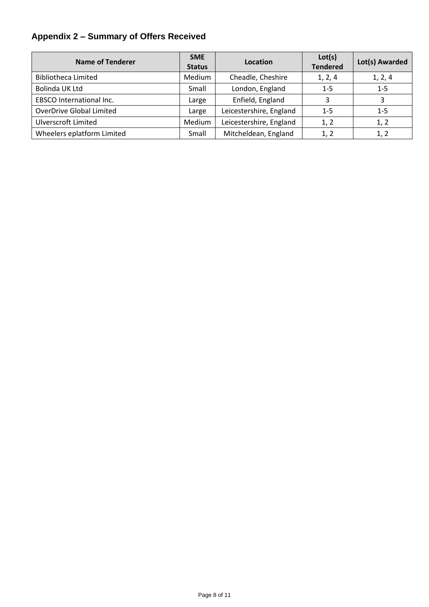# **Appendix 2 – Summary of Offers Received**

| <b>Name of Tenderer</b>         | <b>SME</b><br><b>Status</b> | Location                | Lot(s)<br><b>Tendered</b> | Lot(s) Awarded |
|---------------------------------|-----------------------------|-------------------------|---------------------------|----------------|
| <b>Bibliotheca Limited</b>      | Medium                      | Cheadle, Cheshire       | 1, 2, 4                   | 1, 2, 4        |
| Bolinda UK Ltd                  | Small                       | London, England         | $1 - 5$                   | $1 - 5$        |
| <b>EBSCO International Inc.</b> | Large                       | Enfield, England        | 3                         | 3              |
| OverDrive Global Limited        | Large                       | Leicestershire, England | $1 - 5$                   | $1 - 5$        |
| <b>Ulverscroft Limited</b>      | Medium                      | Leicestershire, England | 1, 2                      | 1, 2           |
| Wheelers eplatform Limited      | Small                       | Mitcheldean, England    | 1, 2                      | 1, 2           |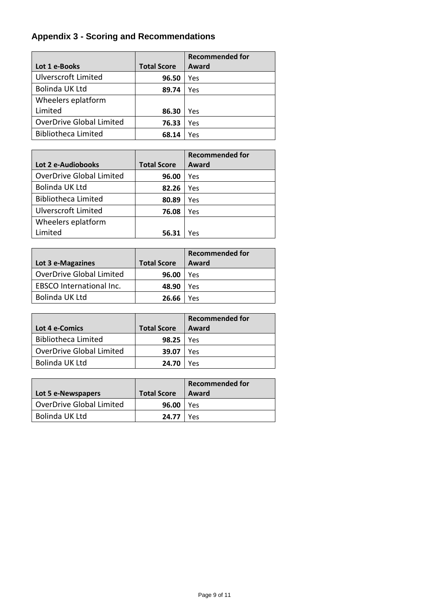# **Appendix 3 - Scoring and Recommendations**

|                                 |                    | <b>Recommended for</b> |
|---------------------------------|--------------------|------------------------|
| Lot 1 e-Books                   | <b>Total Score</b> | Award                  |
| <b>Ulverscroft Limited</b>      | 96.50              | Yes                    |
| <b>Bolinda UK Ltd</b>           | 89.74              | Yes                    |
| Wheelers eplatform              |                    |                        |
| Limited                         | 86.30              | Yes                    |
| <b>OverDrive Global Limited</b> | 76.33              | Yes                    |
| <b>Bibliotheca Limited</b>      | 68.14              | Yes                    |

|                                 |                    | <b>Recommended for</b> |
|---------------------------------|--------------------|------------------------|
| Lot 2 e-Audiobooks              | <b>Total Score</b> | Award                  |
| <b>OverDrive Global Limited</b> | 96.00              | Yes                    |
| Bolinda UK Ltd                  | 82.26              | Yes                    |
| <b>Bibliotheca Limited</b>      | 80.89              | Yes                    |
| <b>Ulverscroft Limited</b>      | 76.08              | Yes                    |
| Wheelers eplatform              |                    |                        |
| Limited                         | 56.31              | Yes                    |

| Lot 3 e-Magazines               | <b>Total Score</b> | <b>Recommended for</b><br>Award |
|---------------------------------|--------------------|---------------------------------|
| <b>OverDrive Global Limited</b> | 96.00              | Yes                             |
| <b>EBSCO</b> International Inc. | 48.90              | Yes                             |
| <b>Bolinda UK Ltd</b>           | 26.66              | Yes                             |

|                                 |                    | <b>Recommended for</b> |
|---------------------------------|--------------------|------------------------|
| Lot 4 e-Comics                  | <b>Total Score</b> | Award                  |
| <b>Bibliotheca Limited</b>      | 98.25              | Yes                    |
| <b>OverDrive Global Limited</b> | 39.07              | Yes                    |
| Bolinda UK Ltd                  | 24.70              | Yρς                    |

|                                 |                    | <b>Recommended for</b> |
|---------------------------------|--------------------|------------------------|
| Lot 5 e-Newspapers              | <b>Total Score</b> | Award                  |
| <b>OverDrive Global Limited</b> | 96.00              | Yes                    |
| Bolinda UK Ltd                  | $24.77$ $\mid$     | Υρς                    |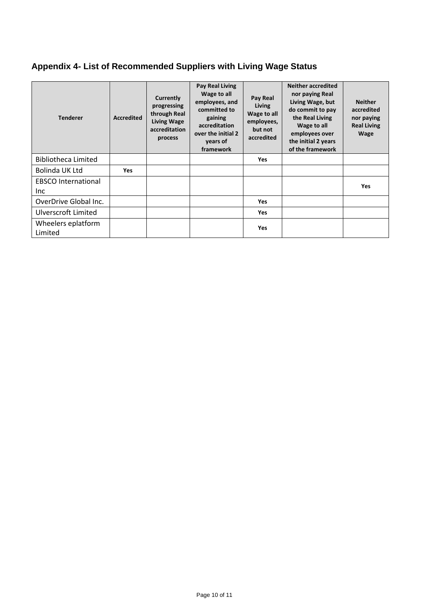# **Appendix 4- List of Recommended Suppliers with Living Wage Status**

| <b>Tenderer</b>               | <b>Accredited</b> | Currently<br>progressing<br>through Real<br><b>Living Wage</b><br>accreditation<br>process | Pay Real Living<br>Wage to all<br>employees, and<br>committed to<br>gaining<br>accreditation<br>over the initial 2<br>years of<br>framework | Pay Real<br>Living<br>Wage to all<br>employees,<br>but not<br>accredited | <b>Neither accredited</b><br>nor paying Real<br>Living Wage, but<br>do commit to pay<br>the Real Living<br>Wage to all<br>employees over<br>the initial 2 years<br>of the framework | <b>Neither</b><br>accredited<br>nor paying<br><b>Real Living</b><br>Wage |
|-------------------------------|-------------------|--------------------------------------------------------------------------------------------|---------------------------------------------------------------------------------------------------------------------------------------------|--------------------------------------------------------------------------|-------------------------------------------------------------------------------------------------------------------------------------------------------------------------------------|--------------------------------------------------------------------------|
| Bibliotheca Limited           |                   |                                                                                            |                                                                                                                                             | <b>Yes</b>                                                               |                                                                                                                                                                                     |                                                                          |
| Bolinda UK Ltd                | Yes               |                                                                                            |                                                                                                                                             |                                                                          |                                                                                                                                                                                     |                                                                          |
| <b>EBSCO</b> International    |                   |                                                                                            |                                                                                                                                             |                                                                          |                                                                                                                                                                                     | <b>Yes</b>                                                               |
| Inc.                          |                   |                                                                                            |                                                                                                                                             |                                                                          |                                                                                                                                                                                     |                                                                          |
| OverDrive Global Inc.         |                   |                                                                                            |                                                                                                                                             | <b>Yes</b>                                                               |                                                                                                                                                                                     |                                                                          |
| Ulverscroft Limited           |                   |                                                                                            |                                                                                                                                             | <b>Yes</b>                                                               |                                                                                                                                                                                     |                                                                          |
| Wheelers eplatform<br>Limited |                   |                                                                                            |                                                                                                                                             | <b>Yes</b>                                                               |                                                                                                                                                                                     |                                                                          |